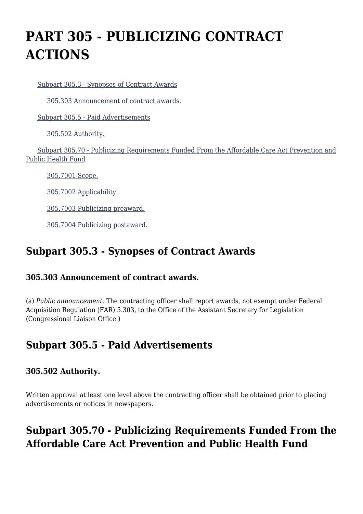# **PART 305 - PUBLICIZING CONTRACT ACTIONS**

[Subpart 305.3 - Synopses of Contract Awards](https://origin-www.acquisition.gov/%5Brp:link:hhsar-part-305%5D#Subpart_305_3_T48_401261)

[305.303 Announcement of contract awards.](https://origin-www.acquisition.gov/%5Brp:link:hhsar-part-305%5D#Section_305_303_T48_40126111)

[Subpart 305.5 - Paid Advertisements](https://origin-www.acquisition.gov/%5Brp:link:hhsar-part-305%5D#Subpart_305_5_T48_401262)

[305.502 Authority.](https://origin-www.acquisition.gov/%5Brp:link:hhsar-part-305%5D#Section_305_502_T48_40126211)

 [Subpart 305.70 - Publicizing Requirements Funded From the Affordable Care Act Prevention and](https://origin-www.acquisition.gov/%5Brp:link:hhsar-part-305%5D#Subpart_305_70_T48_401263) [Public Health Fund](https://origin-www.acquisition.gov/%5Brp:link:hhsar-part-305%5D#Subpart_305_70_T48_401263)

[305.7001 Scope.](https://origin-www.acquisition.gov/%5Brp:link:hhsar-part-305%5D#Section_305_7001_T48_40126311)

[305.7002 Applicability.](https://origin-www.acquisition.gov/%5Brp:link:hhsar-part-305%5D#Section_305_7002_T48_40126312)

[305.7003 Publicizing preaward.](https://origin-www.acquisition.gov/%5Brp:link:hhsar-part-305%5D#Section_305_7003_T48_40126313)

[305.7004 Publicizing postaward.](https://origin-www.acquisition.gov/%5Brp:link:hhsar-part-305%5D#Section_305_7004_T48_40126314)

## **Subpart 305.3 - Synopses of Contract Awards**

#### **305.303 Announcement of contract awards.**

(a) *Public announcement.* The contracting officer shall report awards, not exempt under Federal Acquisition Regulation (FAR) 5.303, to the Office of the Assistant Secretary for Legislation (Congressional Liaison Office.)

## **Subpart 305.5 - Paid Advertisements**

### **305.502 Authority.**

Written approval at least one level above the contracting officer shall be obtained prior to placing advertisements or notices in newspapers.

# **Subpart 305.70 - Publicizing Requirements Funded From the Affordable Care Act Prevention and Public Health Fund**